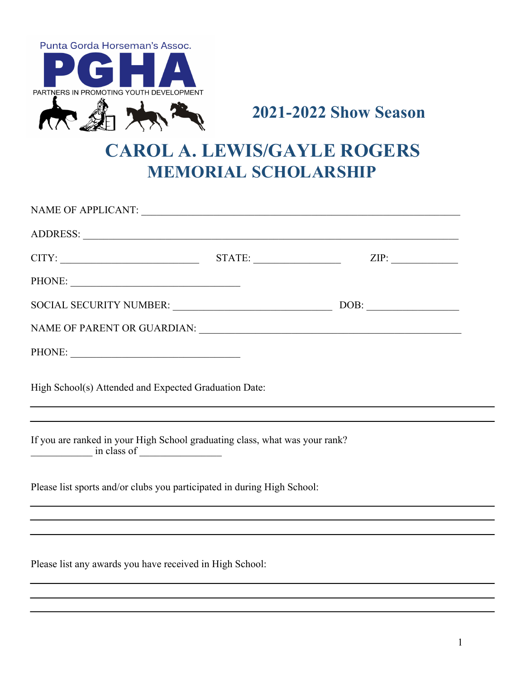



## **CAROL A. LEWIS/GAYLE ROGERS MEMORIAL SCHOLARSHIP**

| <b>CAROL A. LEWIS/GAYLE ROGERS</b><br><b>MEMORIAL SCHOLARSHIP</b> |                                                                                                                                           |  |
|-------------------------------------------------------------------|-------------------------------------------------------------------------------------------------------------------------------------------|--|
|                                                                   |                                                                                                                                           |  |
|                                                                   |                                                                                                                                           |  |
|                                                                   | $CITY:$ STATE: STATE: ZIP:                                                                                                                |  |
|                                                                   |                                                                                                                                           |  |
|                                                                   | SOCIAL SECURITY NUMBER: DOB: DOB: DOB:                                                                                                    |  |
|                                                                   |                                                                                                                                           |  |
|                                                                   |                                                                                                                                           |  |
|                                                                   | High School(s) Attended and Expected Graduation Date:<br>,我们也不会有什么。""我们的人,我们也不会有什么?""我们的人,我们也不会有什么?""我们的人,我们也不会有什么?""我们的人,我们也不会有什么?""我们的人 |  |
| $\frac{1}{\text{in class of }$                                    | If you are ranked in your High School graduating class, what was your rank?                                                               |  |
|                                                                   | Please list sports and/or clubs you participated in during High School:                                                                   |  |
|                                                                   |                                                                                                                                           |  |